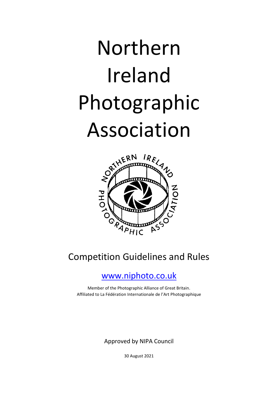# Northern Ireland Photographic Association



## Competition Guidelines and Rules

## [www.niphoto.co.uk](http://www.niphoto.co.uk/)

Member of the Photographic Alliance of Great Britain. Affiliated to La Fédération Internationale de l'Art Photographique

Approved by NIPA Council

30 August 2021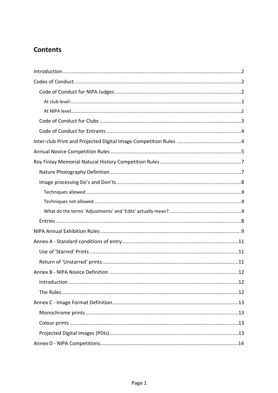## **Contents**

<span id="page-1-0"></span>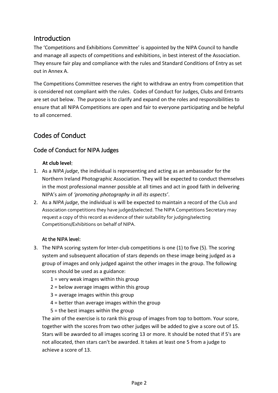## <span id="page-2-0"></span>Introduction

The 'Competitions and Exhibitions Committee' is appointed by the NIPA Council to handle and manage all aspects of competitions and exhibitions, in best interest of the Association. They ensure fair play and compliance with the rules and Standard Conditions of Entry as set out in Annex A.

The Competitions Committee reserves the right to withdraw an entry from competition that is considered not compliant with the rules. Codes of Conduct for Judges, Clubs and Entrants are set out below. The purpose is to clarify and expand on the roles and responsibilities to ensure that all NIPA Competitions are open and fair to everyone participating and be helpful to all concerned.

## <span id="page-2-1"></span>Codes of Conduct

## <span id="page-2-3"></span><span id="page-2-2"></span>Code of Conduct for NIPA Judges

#### **At club level**:

- 1. As a *NIPA judge*, the individual is representing and acting as an ambassador for the Northern Ireland Photographic Association. They will be expected to conduct themselves in the most professional manner possible at all times and act in good faith in delivering NIPA's aim of *'promoting photography in all its aspects'*.
- 2. As a *NIPA judge*, the individual is will be expected to maintain a record of the Club and Association competitions they have judged/selected. The NIPA Competitions Secretary may request a copy of this record as evidence of their suitability for judging/selecting Competitions/Exhibitions on behalf of NIPA.

#### At the NIPA level:

- 3. The NIPA scoring system for Inter-club competitions is one (1) to five (5). The scoring system and subsequent allocation of stars depends on these image being judged as a group of images and only judged against the other images in the group. The following scores should be used as a guidance:
	- $1$  = very weak images within this group
	- 2 = below average images within this group
	- 3 = average images within this group
	- 4 = better than average images within the group
	- 5 = the best images within the group

The aim of the exercise is to rank this group of images from top to bottom. Your score, together with the scores from two other judges will be added to give a score out of 15. Stars will be awarded to all images scoring 13 or more. It should be noted that if 5's are not allocated, then stars can't be awarded. It takes at least one 5 from a judge to achieve a score of 13.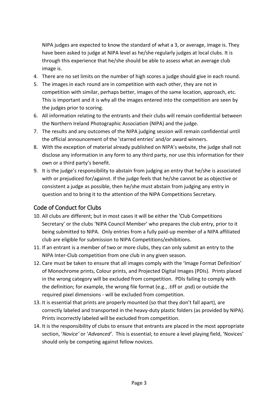NIPA judges are expected to know the standard of what a 3, or average, image is. They have been asked to judge at NIPA level as he/she regularly judges at local clubs. It is through this experience that he/she should be able to assess what an average club image is.

- 4. There are no set limits on the number of high scores a judge should give in each round.
- 5. The images in each round are in competition with each other, they are not in competition with similar, perhaps better, images of the same location, approach, etc. This is important and it is why all the images entered into the competition are seen by the judges prior to scoring.
- 6. All information relating to the entrants and their clubs will remain confidential between the Northern Ireland Photographic Association (NIPA) and the judge.
- 7. The results and any outcomes of the NIPA judging session will remain confidential until the official announcement of the 'starred entries' and/or award winners.
- 8. With the exception of material already published on NIPA's website, the judge shall not disclose any information in any form to any third party, nor use this information for their own or a third party's benefit.
- 9. It is the judge's responsibility to abstain from judging an entry that he/she is associated with or prejudiced for/against. If the judge feels that he/she cannot be as objective or consistent a judge as possible, then he/she must abstain from judging any entry in question and to bring it to the attention of the NIPA Competitions Secretary.

## <span id="page-3-0"></span>Code of Conduct for Clubs

- 10. All clubs are different; but in most cases it will be either the 'Club Competitions Secretary' or the clubs 'NIPA Council Member' who prepares the club entry, prior to it being submitted to NIPA. Only entries from a fully paid-up member of a NIPA affiliated club are eligible for submission to NIPA Competitions/exhibitions.
- 11. If an entrant is a member of two or more clubs, they can only submit an entry to the NIPA Inter-Club competition from one club in any given season.
- 12. Care must be taken to ensure that all images comply with the 'Image Format Definition' of Monochrome prints, Colour prints, and Projected Digital Images (PDIs). Prints placed in the wrong category will be excluded from competition. PDIs failing to comply with the definition; for example, the wrong file format (e.g., .tiff or .psd) or outside the required pixel dimensions - will be excluded from competition.
- 13. It is essential that prints are properly mounted (so that they don't fall apart), are correctly labeled and transported in the heavy-duty plastic folders (as provided by NIPA). Prints incorrectly labeled will be excluded from competition.
- 14. It is the responsibility of clubs to ensure that entrants are placed in the most appropriate section, '*Novice'* or '*Advanced'*. This is essential; to ensure a level playing field, 'Novices' should only be competing against fellow novices.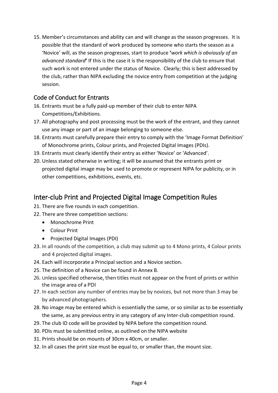15. Member's circumstances and ability can and will change as the season progresses. It is possible that the standard of work produced by someone who starts the season as a 'Novice' will, as the season progresses, start to produce **'***work which is obviously of an advanced standard***'** If this is the case it is the responsibility of the club to ensure that such work is not entered under the status of Novice. Clearly; this is best addressed by the club, rather than NIPA excluding the novice entry from competition at the judging session.

#### <span id="page-4-0"></span>Code of Conduct for Entrants

- 16. Entrants must be a fully paid-up member of their club to enter NIPA Competitions/Exhibitions.
- 17. All photography and post processing must be the work of the entrant, and they cannot use any image or part of an image belonging to someone else.
- 18. Entrants must carefully prepare their entry to comply with the 'Image Format Definition' of Monochrome prints, Colour prints, and Projected Digital Images (PDIs).
- 19. Entrants must clearly identify their entry as either 'Novice' or 'Advanced'.
- 20. Unless stated otherwise in writing; it will be assumed that the entrants print or projected digital image may be used to promote or represent NIPA for publicity, or in other competitions, exhibitions, events, etc.

## <span id="page-4-1"></span>Inter-club Print and Projected Digital Image Competition Rules

- 21. There are five rounds in each competition.
- 22. There are three competition sections:
	- Monochrome Print
	- Colour Print
	- Projected Digital Images (PDI)
- 23. In all rounds of the competition, a club may submit up to 4 Mono prints, 4 Colour prints and 4 projected digital images.
- 24. Each will incorporate a Principal section and a Novice section.
- 25. The definition of a Novice can be found in Annex B.
- 26. Unless specified otherwise, then titles must not appear on the front of prints or within the image area of a PDI
- 27. In each section any number of entries may be by novices, but not more than 3 may be by advanced photographers.
- 28. No image may be entered which is essentially the same, or so similar as to be essentially the same, as any previous entry in any category of any Inter-club competition round.
- 29. The club ID code will be provided by NIPA before the competition round.
- 30. PDIs must be submitted online, as outlined on the NIPA website
- 31. Prints should be on mounts of 30cm x 40cm, or smaller.
- 32. In all cases the print size must be equal to, or smaller than, the mount size.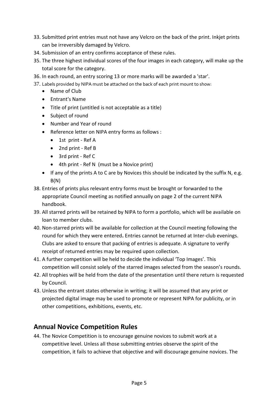- 33. Submitted print entries must not have any Velcro on the back of the print. Inkjet prints can be irreversibly damaged by Velcro.
- 34. Submission of an entry confirms acceptance of these rules.
- 35. The three highest individual scores of the four images in each category, will make up the total score for the category.
- 36. In each round, an entry scoring 13 or more marks will be awarded a 'star'.
- 37. Labels provided by NIPA must be attached on the back of each print mount to show:
	- Name of Club
	- Entrant's Name
	- Title of print (untitled is not acceptable as a title)
	- Subject of round
	- Number and Year of round
	- Reference letter on NIPA entry forms as follows :
		- 1st print Ref A
		- 2nd print Ref B
		- 3rd print Ref C
		- 4th print Ref N (must be a Novice print)
	- If any of the prints A to C are by Novices this should be indicated by the suffix N, e.g.  $B(N)$
- 38. Entries of prints plus relevant entry forms must be brought or forwarded to the appropriate Council meeting as notified annually on page 2 of the current NIPA handbook.
- 39. All starred prints will be retained by NIPA to form a portfolio, which will be available on loan to member clubs.
- 40. Non-starred prints will be available for collection at the Council meeting following the round for which they were entered**.** Entries cannot be returned at Inter-club evenings. Clubs are asked to ensure that packing of entries is adequate. A signature to verify receipt of returned entries may be required upon collection.
- 41. A further competition will be held to decide the individual 'Top Images'. This competition will consist solely of the starred images selected from the season's rounds.
- 42. All trophies will be held from the date of the presentation until there return is requested by Council.
- 43. Unless the entrant states otherwise in writing; it will be assumed that any print or projected digital image may be used to promote or represent NIPA for publicity, or in other competitions, exhibitions, events, etc.

## <span id="page-5-0"></span>**Annual Novice Competition Rules**

44. The Novice Competition is to encourage genuine novices to submit work at a competitive level. Unless all those submitting entries observe the spirit of the competition, it fails to achieve that objective and will discourage genuine novices. The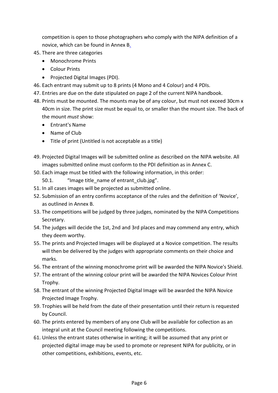competition is open to those photographers who comply with the NIPA definition of a novice, which can be found in Annex B.

- 45. There are three categories
	- Monochrome Prints
	- Colour Prints
	- Projected Digital Images (PDI).
- 46. Each entrant may submit up to 8 prints (4 Mono and 4 Colour) and 4 PDIs.
- 47. Entries are due on the date stipulated on page 2 of the current NIPA handbook.
- 48. Prints must be mounted. The mounts may be of any colour, but must not exceed 30cm x 40cm in size. The print size must be equal to, or smaller than the mount size. The back of the mount *must* show:
	- Entrant's Name
	- Name of Club
	- Title of print (Untitled is not acceptable as a title)
- 49. Projected Digital Images will be submitted online as described on the NIPA website. All images submitted online must conform to the PDI definition as in Annex C.
- 50. Each image must be titled with the following information, in this order:
	- 50.1. "Image title name of entrant club.jpg".
- 51. In all cases images will be projected as submitted online.
- 52. Submission of an entry confirms acceptance of the rules and the definition of 'Novice', as outlined in Annex B.
- 53. The competitions will be judged by three judges, nominated by the NIPA Competitions Secretary.
- 54. The judges will decide the 1st, 2nd and 3rd places and may commend any entry, which they deem worthy.
- 55. The prints and Projected Images will be displayed at a Novice competition. The results will then be delivered by the judges with appropriate comments on their choice and marks.
- 56. The entrant of the winning monochrome print will be awarded the NIPA Novice's Shield.
- 57. The entrant of the winning colour print will be awarded the NIPA Novices Colour Print Trophy.
- 58. The entrant of the winning Projected Digital Image will be awarded the NIPA Novice Projected Image Trophy.
- 59. Trophies will be held from the date of their presentation until their return is requested by Council.
- 60. The prints entered by members of any one Club will be available for collection as an integral unit at the Council meeting following the competitions.
- 61. Unless the entrant states otherwise in writing; it will be assumed that any print or projected digital image may be used to promote or represent NIPA for publicity, or in other competitions, exhibitions, events, etc.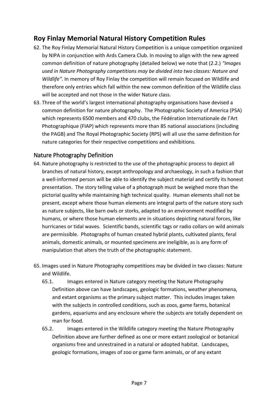## <span id="page-7-0"></span>**Roy Finlay Memorial Natural History Competition Rules**

- 62. The Roy Finlay Memorial Natural History Competition is a unique competition organized by NIPA in conjunction with Ards Camera Club. In moving to align with the new agreed common definition of nature photography (detailed below) we note that (2.2.) *"Images used in Nature Photography competitions may be divided into two classes: Nature and Wildlife"*. In memory of Roy Finlay the competition will remain focused on Wildlife and therefore only entries which fall within the new common definition of the Wildlife class will be accepted and not those in the wider Nature class.
- 63. Three of the world's largest international photography organisations have devised a common definition for nature photography. The Photographic Society of America (PSA) which represents 6500 members and 470 clubs, the Fédération Internationale de l'Art Photographique (FIAP) which represents more than 85 national associations (including the PAGB) and The Royal Photographic Society (RPS) will all use the same definition for nature categories for their respective competitions and exhibitions.

#### <span id="page-7-1"></span>Nature Photography Definition

- 64. Nature photography is restricted to the use of the photographic process to depict all branches of natural history, except anthropology and archaeology, in such a fashion that a well-informed person will be able to identify the subject material and certify its honest presentation. The story telling value of a photograph must be weighed more than the pictorial quality while maintaining high technical quality. Human elements shall not be present, except where those human elements are integral parts of the nature story such as nature subjects, like barn owls or storks, adapted to an environment modified by humans, or where those human elements are in situations depicting natural forces, like hurricanes or tidal waves. Scientific bands, scientific tags or radio collars on wild animals are permissible. Photographs of human created hybrid plants, cultivated plants, feral animals, domestic animals, or mounted specimens are ineligible, as is any form of manipulation that alters the truth of the photographic statement.
- 65. Images used in Nature Photography competitions may be divided in two classes: Nature and Wildlife.
	- 65.1. Images entered in Nature category meeting the Nature Photography Definition above can have landscapes, geologic formations, weather phenomena, and extant organisms as the primary subject matter. This includes images taken with the subjects in controlled conditions, such as zoos, game farms, botanical gardens, aquariums and any enclosure where the subjects are totally dependent on man for food.
	- 65.2. Images entered in the Wildlife category meeting the Nature Photography Definition above are further defined as one or more extant zoological or botanical organisms free and unrestrained in a natural or adopted habitat. Landscapes, geologic formations, images of zoo or game farm animals, or of any extant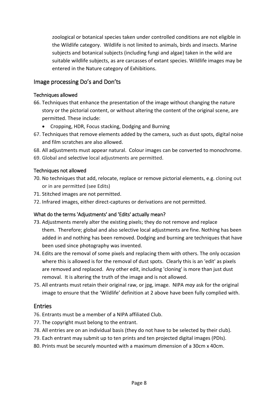zoological or botanical species taken under controlled conditions are not eligible in the Wildlife category. Wildlife is not limited to animals, birds and insects. Marine subjects and botanical subjects (including fungi and algae) taken in the wild are suitable wildlife subjects, as are carcasses of extant species. Wildlife images may be entered in the Nature category of Exhibitions.

#### <span id="page-8-0"></span>Image processing Do's and Don'ts

#### <span id="page-8-1"></span>Techniques allowed

- 66. Techniques that enhance the presentation of the image without changing the nature story or the pictorial content, or without altering the content of the original scene, are permitted. These include:
	- Cropping, HDR, Focus stacking, Dodging and Burning
- 67. Techniques that remove elements added by the camera, such as dust spots, digital noise and film scratches are also allowed.
- 68. All adjustments must appear natural. Colour images can be converted to monochrome.
- 69. Global and selective local adjustments are permitted.

#### <span id="page-8-2"></span>Techniques not allowed

- 70. No techniques that add, relocate, replace or remove pictorial elements, e.g. cloning out or in are permitted (see Edits)
- 71. Stitched images are not permitted.
- 72. Infrared images, either direct-captures or derivations are not permitted.

#### <span id="page-8-3"></span>What do the terms 'Adjustments' and 'Edits' actually mean?

- 73. Adjustments merely alter the existing pixels; they do not remove and replace them. Therefore; global and also selective local adjustments are fine. Nothing has been added in and nothing has been removed. Dodging and burning are techniques that have been used since photography was invented.
- 74. Edits are the removal of some pixels and replacing them with others. The only occasion where this is allowed is for the removal of dust spots. Clearly this is an 'edit' as pixels are removed and replaced. Any other edit, including 'cloning' is more than just dust removal. It is altering the truth of the image and is not allowed.
- 75. All entrants must retain their original raw, or jpg, image. NIPA *may* ask for the original image to ensure that the 'Wildlife' definition at 2 above have been fully complied with.

#### <span id="page-8-4"></span>Entries

- 76. Entrants must be a member of a NIPA affiliated Club.
- 77. The copyright must belong to the entrant.
- 78. All entries are on an individual basis (they do not have to be selected by their club).
- 79. Each entrant may submit up to ten prints and ten projected digital images (PDIs).
- 80. Prints must be securely mounted with a maximum dimension of a 30cm x 40cm.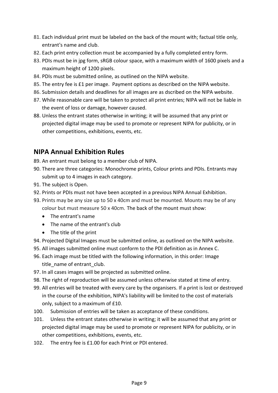- 81. Each individual print must be labeled on the back of the mount with; factual title only, entrant's name and club.
- 82. Each print entry collection must be accompanied by a fully completed entry form.
- 83. PDIs must be in jpg form, sRGB colour space, with a maximum width of 1600 pixels and a maximum height of 1200 pixels.
- 84. PDIs must be submitted online, as outlined on the NIPA website.
- 85. The entry fee is £1 per image. Payment options as described on the NIPA website.
- 86. Submission details and deadlines for all images are as dscribed on the NIPA website.
- 87. While reasonable care will be taken to protect all print entries; NIPA will not be liable in the event of loss or damage, however caused.
- 88. Unless the entrant states otherwise in writing; it will be assumed that any print or projected digital image may be used to promote or represent NIPA for publicity, or in other competitions, exhibitions, events, etc.

## <span id="page-9-0"></span>**NIPA Annual Exhibition Rules**

- 89. An entrant must belong to a member club of NIPA.
- 90. There are three categories: Monochrome prints, Colour prints and PDIs. Entrants may submit up to 4 images in each category.
- 91. The subject is Open.
- 92. Prints or PDIs must not have been accepted in a previous NIPA Annual Exhibition.
- 93. Prints may be any size up to 50 x 40cm and must be mounted. Mounts may be of any colour but must measure 50 x 40cm. The back of the mount must show:
	- The entrant's name
	- The name of the entrant's club
	- The title of the print
- 94. Projected Digital Images must be submitted online, as outlined on the NIPA website.
- 95. All images submitted online must conform to the PDI definition as in Annex C.
- 96. Each image must be titled with the following information, in this order: Image title\_name of entrant\_club.
- 97. In all cases images will be projected as submitted online.
- 98. The right of reproduction will be assumed unless otherwise stated at time of entry.
- 99. All entries will be treated with every care by the organisers. If a print is lost or destroyed in the course of the exhibition, NIPA's liability will be limited to the cost of materials only, subject to a maximum of £10.
- 100. Submission of entries will be taken as acceptance of these conditions.
- 101. Unless the entrant states otherwise in writing; it will be assumed that any print or projected digital image may be used to promote or represent NIPA for publicity, or in other competitions, exhibitions, events, etc.
- 102. The entry fee is £1.00 for each Print or PDI entered.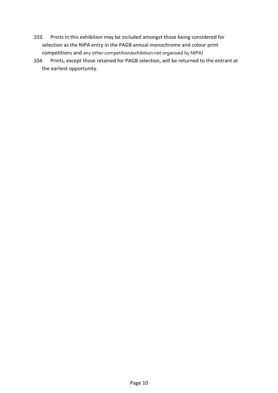- 103. Prints in this exhibition may be included amongst those being considered for selection as the NIPA entry in the PAGB annual monochrome and colour print competitions and any other competition/exhibition not organised by NIPA)
- 104. Prints, except those retained for PAGB selection, will be returned to the entrant at the earliest opportunity.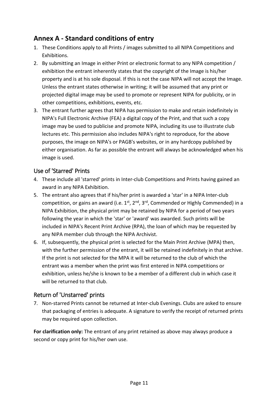## <span id="page-11-0"></span>**Annex A - Standard conditions of entry**

- 1. These Conditions apply to all Prints / images submitted to all NIPA Competitions and Exhibitions.
- 2. By submitting an Image in either Print or electronic format to any NIPA competition / exhibition the entrant inherently states that the copyright of the Image is his/her property and is at his sole disposal. If this is not the case NIPA will not accept the Image. Unless the entrant states otherwise in writing; it will be assumed that any print or projected digital image may be used to promote or represent NIPA for publicity, or in other competitions, exhibitions, events, etc.
- 3. The entrant further agrees that NIPA has permission to make and retain indefinitely in NIPA's Full Electronic Archive (FEA) a digital copy of the Print, and that such a copy image may be used to publicise and promote NIPA, including its use to illustrate club lectures etc. This permission also includes NIPA's right to reproduce, for the above purposes, the image on NIPA's or PAGB's websites, or in any hardcopy published by either organisation. As far as possible the entrant will always be acknowledged when his image is used.

#### <span id="page-11-1"></span>Use of 'Starred' Prints

- 4. These include all 'starred' prints in Inter-club Competitions and Prints having gained an award in any NIPA Exhibition.
- 5. The entrant also agrees that if his/her print is awarded a 'star' in a NIPA Inter-club competition, or gains an award (i.e. 1<sup>st</sup>, 2<sup>nd</sup>, 3<sup>rd</sup>, Commended or Highly Commended) in a NIPA Exhibition, the physical print may be retained by NIPA for a period of two years following the year in which the 'star' or 'award' was awarded. Such prints will be included in NIPA's Recent Print Archive (RPA), the loan of which may be requested by any NIPA member club through the NIPA Archivist.
- 6. If, subsequently, the physical print is selected for the Main Print Archive (MPA) then, with the further permission of the entrant, it will be retained indefinitely in that archive. If the print is not selected for the MPA it will be returned to the club of which the entrant was a member when the print was first entered in NIPA competitions or exhibition, unless he/she is known to be a member of a different club in which case it will be returned to that club.

#### <span id="page-11-2"></span>Return of 'Unstarred' prints

7. Non-starred Prints cannot be returned at Inter-club Evenings. Clubs are asked to ensure that packaging of entries is adequate. A signature to verify the receipt of returned prints may be required upon collection.

**For clarification only:** The entrant of any print retained as above may always produce a second or copy print for his/her own use.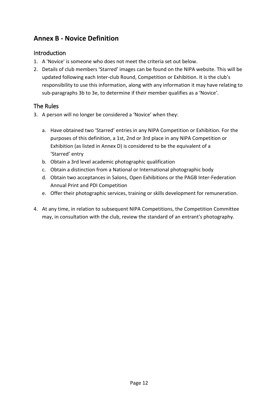## <span id="page-12-0"></span>**Annex B - Novice Definition**

#### <span id="page-12-1"></span>Introduction

- <span id="page-12-2"></span>1. A 'Novice' is someone who does not meet the criteria set out below.
- 2. Details of club members 'Starred' images can be found on the NIPA website. This will be updated following each Inter-club Round, Competition or Exhibition. It is the club's responsibility to use this information, along with any information it may have relating to sub-paragraphs 3b to 3e, to determine if their member qualifies as a 'Novice'.

#### The Rules

- 3. A person will no longer be considered a 'Novice' when they:
	- a. Have obtained two 'Starred' entries in any NIPA Competition or Exhibition. For the purposes of this definition, a 1st, 2nd or 3rd place in any NIPA Competition or Exhibition (as listed in Annex D) is considered to be the equivalent of a 'Starred' entry
	- b. Obtain a 3rd level academic photographic qualification
	- c. Obtain a distinction from a National or International photographic body
	- d. Obtain two acceptances in Salons, Open Exhibitions or the PAGB Inter-Federation Annual Print and PDI Competition
	- e. Offer their photographic services, training or skills development for remuneration.
- 4. At any time, in relation to subsequent NIPA Competitions, the Competition Committee may, in consultation with the club, review the standard of an entrant's photography.